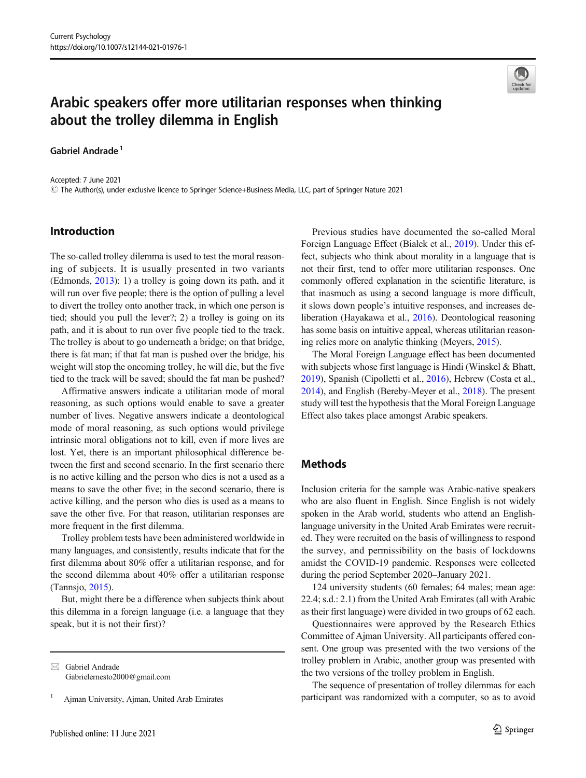

# Arabic speakers offer more utilitarian responses when thinking about the trolley dilemma in English

#### Gabriel Andrade<sup>1</sup>

Accepted: 7 June 2021 # The Author(s), under exclusive licence to Springer Science+Business Media, LLC, part of Springer Nature 2021

### Introduction

The so-called trolley dilemma is used to test the moral reasoning of subjects. It is usually presented in two variants (Edmonds, [2013](#page-2-0)): 1) a trolley is going down its path, and it will run over five people; there is the option of pulling a level to divert the trolley onto another track, in which one person is tied; should you pull the lever?; 2) a trolley is going on its path, and it is about to run over five people tied to the track. The trolley is about to go underneath a bridge; on that bridge, there is fat man; if that fat man is pushed over the bridge, his weight will stop the oncoming trolley, he will die, but the five tied to the track will be saved; should the fat man be pushed?

Affirmative answers indicate a utilitarian mode of moral reasoning, as such options would enable to save a greater number of lives. Negative answers indicate a deontological mode of moral reasoning, as such options would privilege intrinsic moral obligations not to kill, even if more lives are lost. Yet, there is an important philosophical difference between the first and second scenario. In the first scenario there is no active killing and the person who dies is not a used as a means to save the other five; in the second scenario, there is active killing, and the person who dies is used as a means to save the other five. For that reason, utilitarian responses are more frequent in the first dilemma.

Trolley problem tests have been administered worldwide in many languages, and consistently, results indicate that for the first dilemma about 80% offer a utilitarian response, and for the second dilemma about 40% offer a utilitarian response (Tannsjo, [2015](#page-2-0)).

But, might there be a difference when subjects think about this dilemma in a foreign language (i.e. a language that they speak, but it is not their first)?

 $\boxtimes$  Gabriel Andrade [Gabrielernesto2000@gmail.com](mailto:Gabrielernesto2000@gmail.com)

<sup>1</sup> Ajman University, Ajman, United Arab Emirates

Previous studies have documented the so-called Moral Foreign Language Effect (Białek et al., [2019](#page-2-0)). Under this effect, subjects who think about morality in a language that is not their first, tend to offer more utilitarian responses. One commonly offered explanation in the scientific literature, is that inasmuch as using a second language is more difficult, it slows down people's intuitive responses, and increases deliberation (Hayakawa et al., [2016](#page-2-0)). Deontological reasoning has some basis on intuitive appeal, whereas utilitarian reasoning relies more on analytic thinking (Meyers, [2015](#page-2-0)).

The Moral Foreign Language effect has been documented with subjects whose first language is Hindi (Winskel & Bhatt, [2019\)](#page-2-0), Spanish (Cipolletti et al., [2016](#page-2-0)), Hebrew (Costa et al., [2014\)](#page-2-0), and English (Bereby-Meyer et al., [2018\)](#page-1-0). The present study will test the hypothesis that the Moral Foreign Language Effect also takes place amongst Arabic speakers.

#### **Methods**

Inclusion criteria for the sample was Arabic-native speakers who are also fluent in English. Since English is not widely spoken in the Arab world, students who attend an Englishlanguage university in the United Arab Emirates were recruited. They were recruited on the basis of willingness to respond the survey, and permissibility on the basis of lockdowns amidst the COVID-19 pandemic. Responses were collected during the period September 2020–January 2021.

124 university students (60 females; 64 males; mean age: 22.4; s.d.: 2.1) from the United Arab Emirates (all with Arabic as their first language) were divided in two groups of 62 each.

Questionnaires were approved by the Research Ethics Committee of Ajman University. All participants offered consent. One group was presented with the two versions of the trolley problem in Arabic, another group was presented with the two versions of the trolley problem in English.

The sequence of presentation of trolley dilemmas for each participant was randomized with a computer, so as to avoid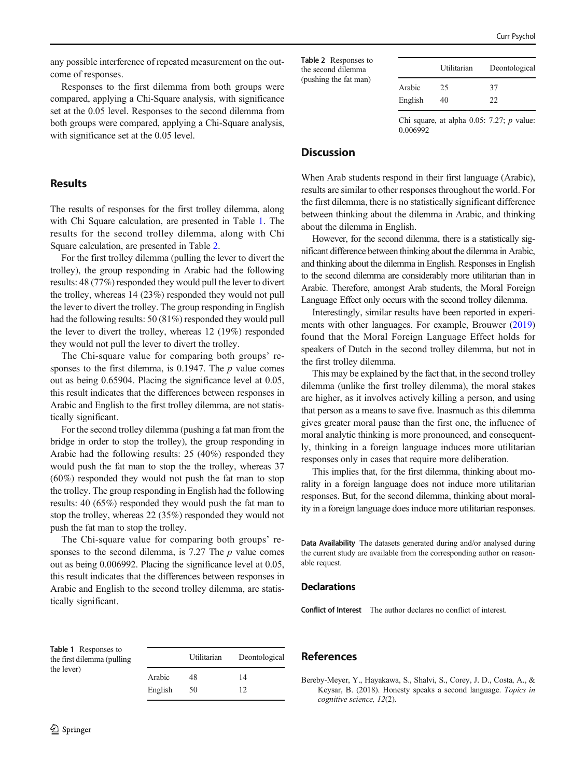<span id="page-1-0"></span>any possible interference of repeated measurement on the outcome of responses.

Responses to the first dilemma from both groups were compared, applying a Chi-Square analysis, with significance set at the 0.05 level. Responses to the second dilemma from both groups were compared, applying a Chi-Square analysis, with significance set at the 0.05 level.

#### Results

The results of responses for the first trolley dilemma, along with Chi Square calculation, are presented in Table 1. The results for the second trolley dilemma, along with Chi Square calculation, are presented in Table 2.

For the first trolley dilemma (pulling the lever to divert the trolley), the group responding in Arabic had the following results: 48 (77%) responded they would pull the lever to divert the trolley, whereas 14 (23%) responded they would not pull the lever to divert the trolley. The group responding in English had the following results: 50 (81%) responded they would pull the lever to divert the trolley, whereas 12 (19%) responded they would not pull the lever to divert the trolley.

The Chi-square value for comparing both groups' responses to the first dilemma, is 0.1947. The  $p$  value comes out as being 0.65904. Placing the significance level at 0.05, this result indicates that the differences between responses in Arabic and English to the first trolley dilemma, are not statistically significant.

For the second trolley dilemma (pushing a fat man from the bridge in order to stop the trolley), the group responding in Arabic had the following results: 25 (40%) responded they would push the fat man to stop the the trolley, whereas 37 (60%) responded they would not push the fat man to stop the trolley. The group responding in English had the following results: 40 (65%) responded they would push the fat man to stop the trolley, whereas 22 (35%) responded they would not push the fat man to stop the trolley.

The Chi-square value for comparing both groups' responses to the second dilemma, is  $7.27$  The  $p$  value comes out as being 0.006992. Placing the significance level at 0.05, this result indicates that the differences between responses in Arabic and English to the second trolley dilemma, are statistically significant.

Table 2 Responses to the second dilemma (pushing the fat man)

|         | Utilitarian | Deontological |
|---------|-------------|---------------|
| Arabic  | 25          | 37            |
| English | 40          | 22            |

Chi square, at alpha  $0.05$ : 7.27;  $p$  value: 0.006992

## **Discussion**

When Arab students respond in their first language (Arabic), results are similar to other responses throughout the world. For the first dilemma, there is no statistically significant difference between thinking about the dilemma in Arabic, and thinking about the dilemma in English.

However, for the second dilemma, there is a statistically significant difference between thinking about the dilemma in Arabic, and thinking about the dilemma in English. Responses in English to the second dilemma are considerably more utilitarian than in Arabic. Therefore, amongst Arab students, the Moral Foreign Language Effect only occurs with the second trolley dilemma.

Interestingly, similar results have been reported in experiments with other languages. For example, Brouwer [\(2019](#page-2-0)) found that the Moral Foreign Language Effect holds for speakers of Dutch in the second trolley dilemma, but not in the first trolley dilemma.

This may be explained by the fact that, in the second trolley dilemma (unlike the first trolley dilemma), the moral stakes are higher, as it involves actively killing a person, and using that person as a means to save five. Inasmuch as this dilemma gives greater moral pause than the first one, the influence of moral analytic thinking is more pronounced, and consequently, thinking in a foreign language induces more utilitarian responses only in cases that require more deliberation.

This implies that, for the first dilemma, thinking about morality in a foreign language does not induce more utilitarian responses. But, for the second dilemma, thinking about morality in a foreign language does induce more utilitarian responses.

Data Availability The datasets generated during and/or analysed during the current study are available from the corresponding author on reasonable request.

Bereby-Meyer, Y., Hayakawa, S., Shalvi, S., Corey, J. D., Costa, A., & Keysar, B. (2018). Honesty speaks a second language. Topics in

#### **Declarations**

References

cognitive science, 12(2).

Conflict of Interest The author declares no conflict of interest.

| <b>Table 1</b> Responses to<br>the first dilemma (pulling) |         | Utilitarian | Deontological |
|------------------------------------------------------------|---------|-------------|---------------|
| the lever)                                                 | Arabic  | 48          | 14            |
|                                                            | English | 50          |               |